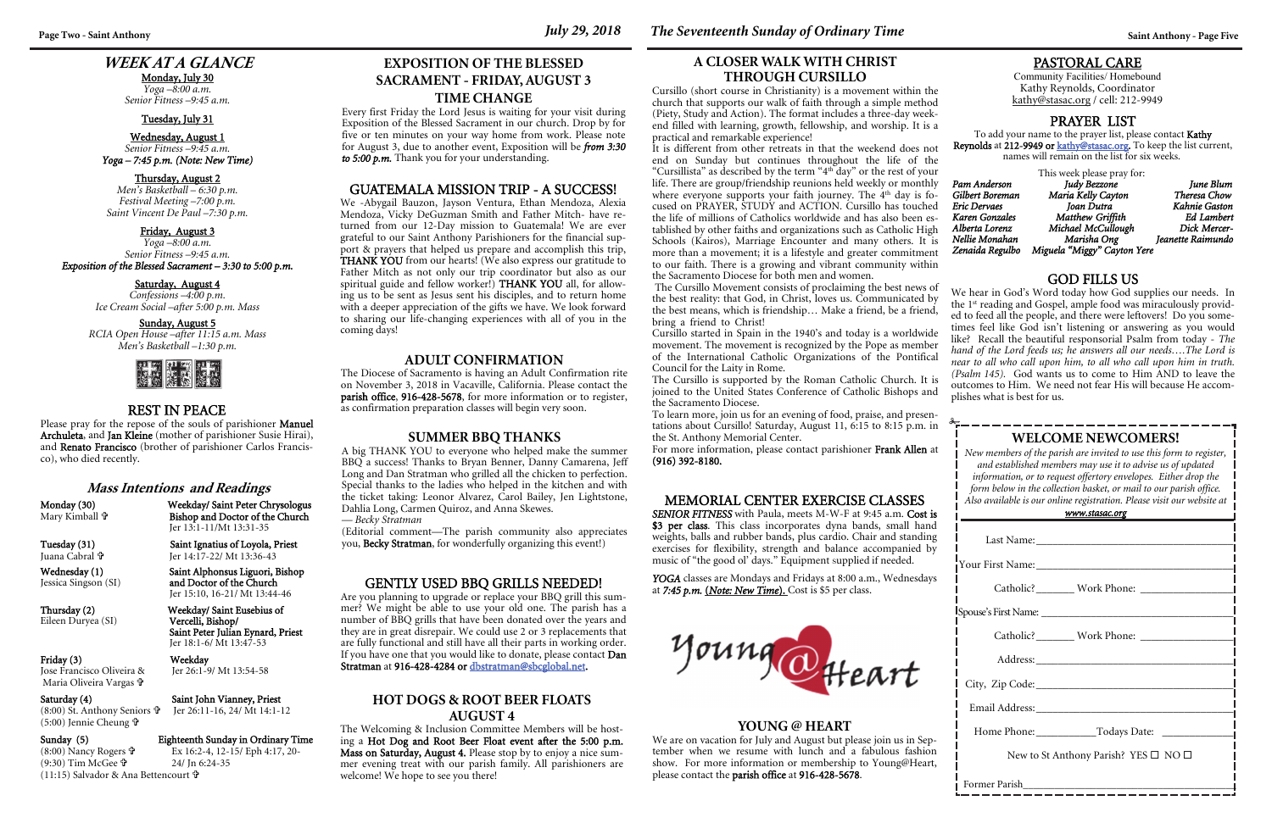### **WEEK AT A GLANCE**

Monday, July 30 *Yoga –8:00 a.m. Senior Fitness –9:45 a.m.* 

#### Tuesday, July 31

Wednesday, August 1 *Senior Fitness –9:45 a.m. Yoga – 7:45 p.m. (Note: New Time)* 

#### Thursday, August 2

*Men's Basketball – 6:30 p.m. Festival Meeting –7:00 p.m. Saint Vincent De Paul –7:30 p.m.* 

#### Friday, August 3

*Yoga –8:00 a.m. Senior Fitness –9:45 a.m. Exposition of the Blessed Sacrament – 3:30 to 5:00 p.m.* 

#### Saturday, August 4

*Confessions –4:00 p.m. Ice Cream Social –after 5:00 p.m. Mass* 

#### Sunday, August 5

*RCIA Open House –after 11:15 a.m. Mass Men's Basketball –1:30 p.m.* 



#### **WELCOME NEWCOMERS!**

*New members of the parish are invited to use this form to register, and established members may use it to advise us of updated information, or to request offertory envelopes. Either drop the form below in the collection basket, or mail to our parish office. Also available is our online registration. Please visit our website at* 

| <u>www.stasac.org</u>                                |  |  |
|------------------------------------------------------|--|--|
|                                                      |  |  |
|                                                      |  |  |
|                                                      |  |  |
|                                                      |  |  |
|                                                      |  |  |
|                                                      |  |  |
|                                                      |  |  |
| Email Address: No. 1996                              |  |  |
|                                                      |  |  |
| New to St Anthony Parish? YES $\square$ NO $\square$ |  |  |
| Former Parish                                        |  |  |

and Doctor of the Church Jer 15:10, 16-21/ Mt 13:44-46

Thursday (2) Weekday/ Saint Eusebius of<br>Eileen Duryea (SI) Vercelli, Bishop/ Saint Peter Julian Eynard, Priest Jer 18:1-6/ Mt 13:47-53

#### PASTORAL CARE

Community Facilities/ Homebound Kathy Reynolds, Coordinator kathy@stasac.org / cell: 212-9949

 $(8:00)$  Nancy Rogers  $\mathbf{\hat{\Psi}}$  $(9:30)$  Tim McGee  $\mathbf{\hat{P}}$ (11:15) Salvador & Ana Bettencourt

#### REST IN PEACE

Jer 26:1-9/ Mt 13:54-58

Please pray for the repose of the souls of parishioner Manuel Archuleta, and Jan Kleine (mother of parishioner Susie Hirai), and Renato Francisco (brother of parishioner Carlos Francisco), who died recently.

*Matthew Griffith Ed Lambert Alberta Lorenz Michael McCullough Dick Mercer-Nellie Monahan Marisha Ong Jeanette Raimundo Miguela "Miggy" Cayton Yere* 

#### GOD FILLS US

YOGA classes are Mondays and Fridays at 8:00 a.m., Wednesdays at *7:45 p.m.* (*Note: New Time*). Cost is \$5 per class.



#### **Mass Intentions and Readings**

Mary Kimball **†** 

Monday (30) Weekday/ Saint Peter Chrysologus Bishop and Doctor of the Church Jer 13:1-11/Mt 13:31-35

Juana Cabral **t** 

Eileen Duryea (SI)

# Friday (3) Weekday<br>Jose Francisco Oliveira & Jer 26:1-9

Maria Oliveira Vargas

(5:00) Jennie Cheung **†** 

Saturday (4) Saint John Vianney, Priest

## (8:00) St. Anthony Seniors Jer 26:11-16, 24/ Mt 14:1-12

#### Sunday (5) Eighteenth Sunday in Ordinary Time

 Ex 16:2-4, 12-15/ Eph 4:17, 20- 24/ Jn 6:24-35

#### PRAYER LIST

To add your name to the prayer list, please contact Kathy **Reynolds** at **212-9949 or <u>kathy@stasac.or</u>g.** To keep the list current, names will remain on the list for six weeks.

This week please pray for: *Pam Anderson Judy Bezzone June Blum Gilbert Boreman Maria Kelly Cayton*<br>*Eric Dervaes Joan Dutra Karen Gonzales* 

*Eric Dervaes Joan Dutra Kahnie Gaston* 

We hear in God's Word today how God supplies our needs. In the 1st reading and Gospel, ample food was miraculously provided to feed all the people, and there were leftovers! Do you sometimes feel like God isn't listening or answering as you would like? Recall the beautiful responsorial Psalm from today - *The hand of the Lord feeds us; he answers all our needs….The Lord is near to all who call upon him, to all who call upon him in truth. (Psalm 145).* God wants us to come to Him AND to leave the outcomes to Him. We need not fear His will because He accomplishes what is best for us. The Cursillo Movement consists of proclaiming the best news of

#### MEMORIAL CENTER EXERCISE CLASSES

*SENIOR FITNESS* with Paula, meets M-W-F at 9:45 a.m. Cost is \$3 per class. This class incorporates dyna bands, small hand weights, balls and rubber bands, plus cardio. Chair and standing exercises for flexibility, strength and balance accompanied by music of "the good ol' days." Equipment supplied if needed.

#### **YOUNG @ HEART**

We are on vacation for July and August but please join us in September when we resume with lunch and a fabulous fashion show. For more information or membership to Young@Heart, please contact the parish office at 916-428-5678.

### Saint Ignatius of Loyola, Priest Jer 14:17-22/ Mt 13:36-43 Wednesday (1) Saint Alphonsus Liguori, Bishop<br>Jessica Singson (SI) and Doctor of the Church

#### **A CLOSER WALK WITH CHRIST THROUGH CURSILLO**

Cursillo (short course in Christianity) is a movement within the church that supports our walk of faith through a simple method (Piety, Study and Action). The format includes a three-day weekend filled with learning, growth, fellowship, and worship. It is a practical and remarkable experience!

It is different from other retreats in that the weekend does not end on Sunday but continues throughout the life of the "Cursillista" as described by the term "4th day" or the rest of your life. There are group/friendship reunions held weekly or monthly where everyone supports your faith journey. The 4<sup>th</sup> day is focused on PRAYER, STUDY and ACTION. Cursillo has touched the life of millions of Catholics worldwide and has also been established by other faiths and organizations such as Catholic High Schools (Kairos), Marriage Encounter and many others. It is more than a movement; it is a lifestyle and greater commitment to our faith. There is a growing and vibrant community within the Sacramento Diocese for both men and women.

the best reality: that God, in Christ, loves us. Communicated by the best means, which is friendship… Make a friend, be a friend, bring a friend to Christ! Cursillo started in Spain in the 1940's and today is a worldwide movement. The movement is recognized by the Pope as member of the International Catholic Organizations of the Pontifical Council for the Laity in Rome. The Cursillo is supported by the Roman Catholic Church. It is joined to the United States Conference of Catholic Bishops and the Sacramento Diocese.

To learn more, join us for an evening of food, praise, and presentations about Cursillo! Saturday, August 11, 6:15 to 8:15 p.m. in the St. Anthony Memorial Center.

For more information, please contact parishioner Frank Allen at (916) 392-8180.

#### GUATEMALA MISSION TRIP - A SUCCESS!

We -Abygail Bauzon, Jayson Ventura, Ethan Mendoza, Alexia Mendoza, Vicky DeGuzman Smith and Father Mitch- have returned from our 12-Day mission to Guatemala! We are ever grateful to our Saint Anthony Parishioners for the financial support & prayers that helped us prepare and accomplish this trip, THANK YOU from our hearts! (We also express our gratitude to Father Mitch as not only our trip coordinator but also as our spiritual guide and fellow worker!) THANK YOU all, for allowing us to be sent as Jesus sent his disciples, and to return home with a deeper appreciation of the gifts we have. We look forward to sharing our life-changing experiences with all of you in the coming days!

#### **ADULT CONFIRMATION**

The Diocese of Sacramento is having an Adult Confirmation rite on November 3, 2018 in Vacaville, California. Please contact the parish office, 916-428-5678, for more information or to register, as confirmation preparation classes will begin very soon.

### **EXPOSITION OF THE BLESSED SACRAMENT - FRIDAY, AUGUST 3 TIME CHANGE**

Every first Friday the Lord Jesus is waiting for your visit during Exposition of the Blessed Sacrament in our church. Drop by for five or ten minutes on your way home from work. Please note for August 3, due to another event, Exposition will be *from 3:30 to 5:00 p.m.* Thank you for your understanding.

#### **SUMMER BBQ THANKS**

A big THANK YOU to everyone who helped make the summer BBQ a success! Thanks to Bryan Benner, Danny Camarena, Jeff Long and Dan Stratman who grilled all the chicken to perfection. Special thanks to the ladies who helped in the kitchen and with the ticket taking: Leonor Alvarez, Carol Bailey, Jen Lightstone, Dahlia Long, Carmen Quiroz, and Anna Skewes. *— Becky Stratman*

(Editorial comment—The parish community also appreciates you, Becky Stratman, for wonderfully organizing this event!)

#### GENTLY USED BBQ GRILLS NEEDED!

Are you planning to upgrade or replace your BBQ grill this summer? We might be able to use your old one. The parish has a number of BBQ grills that have been donated over the years and they are in great disrepair. We could use 2 or 3 replacements that are fully functional and still have all their parts in working order. If you have one that you would like to donate, please contact Dan Stratman at 916-428-4284 or dbstratman@sbcglobal.net.

#### **HOT DOGS & ROOT BEER FLOATS AUGUST 4**

The Welcoming & Inclusion Committee Members will be hosting a Hot Dog and Root Beer Float event after the 5:00 p.m. Mass on Saturday, August 4. Please stop by to enjoy a nice summer evening treat with our parish family. All parishioners are welcome! We hope to see you there!